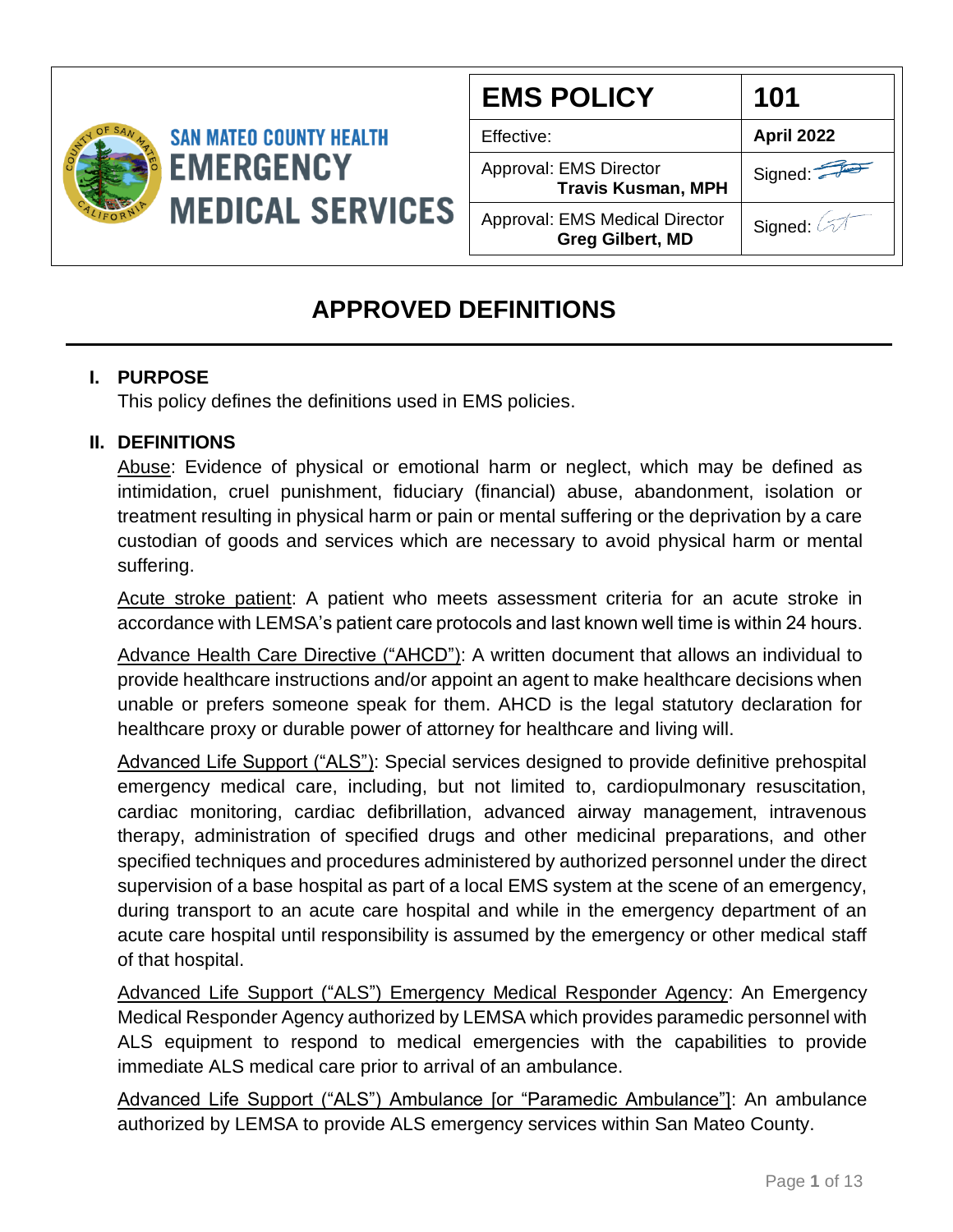

| <b>EMS POLICY</b>                                                | 101        |
|------------------------------------------------------------------|------------|
| Effective:                                                       | April 2022 |
| Approval: EMS Director<br><b>Travis Kusman, MPH</b>              | Signed:    |
| <b>Approval: EMS Medical Director</b><br><b>Greg Gilbert, MD</b> | Signed: 4  |

## **APPROVED DEFINITIONS**

## **I. PURPOSE**

This policy defines the definitions used in EMS policies.

## **II. DEFINITIONS**

Abuse: Evidence of physical or emotional harm or neglect, which may be defined as intimidation, cruel punishment, fiduciary (financial) abuse, abandonment, isolation or treatment resulting in physical harm or pain or mental suffering or the deprivation by a care custodian of goods and services which are necessary to avoid physical harm or mental suffering.

Acute stroke patient: A patient who meets assessment criteria for an acute stroke in accordance with LEMSA's patient care protocols and last known well time is within 24 hours.

Advance Health Care Directive ("AHCD"): A written document that allows an individual to provide healthcare instructions and/or appoint an agent to make healthcare decisions when unable or prefers someone speak for them. AHCD is the legal statutory declaration for healthcare proxy or durable power of attorney for healthcare and living will.

Advanced Life Support ("ALS"): Special services designed to provide definitive prehospital emergency medical care, including, but not limited to, cardiopulmonary resuscitation, cardiac monitoring, cardiac defibrillation, advanced airway management, intravenous therapy, administration of specified drugs and other medicinal preparations, and other specified techniques and procedures administered by authorized personnel under the direct supervision of a base hospital as part of a local EMS system at the scene of an emergency, during transport to an acute care hospital and while in the emergency department of an acute care hospital until responsibility is assumed by the emergency or other medical staff of that hospital.

Advanced Life Support ("ALS") Emergency Medical Responder Agency: An Emergency Medical Responder Agency authorized by LEMSA which provides paramedic personnel with ALS equipment to respond to medical emergencies with the capabilities to provide immediate ALS medical care prior to arrival of an ambulance.

Advanced Life Support ("ALS") Ambulance [or "Paramedic Ambulance"]: An ambulance authorized by LEMSA to provide ALS emergency services within San Mateo County.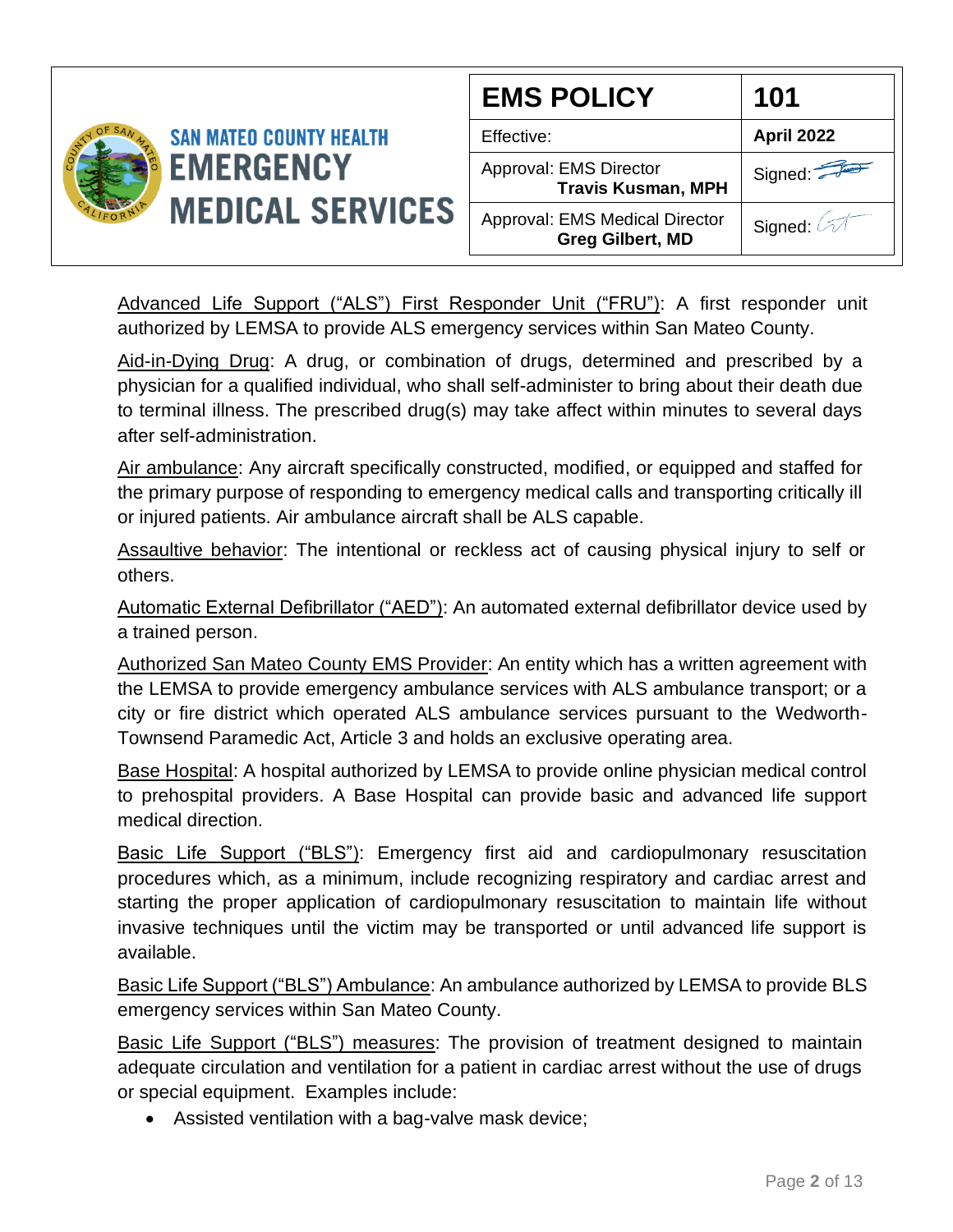

Advanced Life Support ("ALS") First Responder Unit ("FRU"): A first responder unit authorized by LEMSA to provide ALS emergency services within San Mateo County.

Aid-in-Dying Drug: A drug, or combination of drugs, determined and prescribed by a physician for a qualified individual, who shall self-administer to bring about their death due to terminal illness. The prescribed drug(s) may take affect within minutes to several days after self-administration.

Air ambulance: Any aircraft specifically constructed, modified, or equipped and staffed for the primary purpose of responding to emergency medical calls and transporting critically ill or injured patients. Air ambulance aircraft shall be ALS capable.

Assaultive behavior: The intentional or reckless act of causing physical injury to self or others.

Automatic External Defibrillator ("AED"): An automated external defibrillator device used by a trained person.

Authorized San Mateo County EMS Provider: An entity which has a written agreement with the LEMSA to provide emergency ambulance services with ALS ambulance transport; or a city or fire district which operated ALS ambulance services pursuant to the Wedworth-Townsend Paramedic Act, Article 3 and holds an exclusive operating area.

Base Hospital: A hospital authorized by LEMSA to provide online physician medical control to prehospital providers. A Base Hospital can provide basic and advanced life support medical direction.

Basic Life Support ("BLS"): Emergency first aid and cardiopulmonary resuscitation procedures which, as a minimum, include recognizing respiratory and cardiac arrest and starting the proper application of cardiopulmonary resuscitation to maintain life without invasive techniques until the victim may be transported or until advanced life support is available.

Basic Life Support ("BLS") Ambulance: An ambulance authorized by LEMSA to provide BLS emergency services within San Mateo County.

Basic Life Support ("BLS") measures: The provision of treatment designed to maintain adequate circulation and ventilation for a patient in cardiac arrest without the use of drugs or special equipment. Examples include:

• Assisted ventilation with a bag-valve mask device;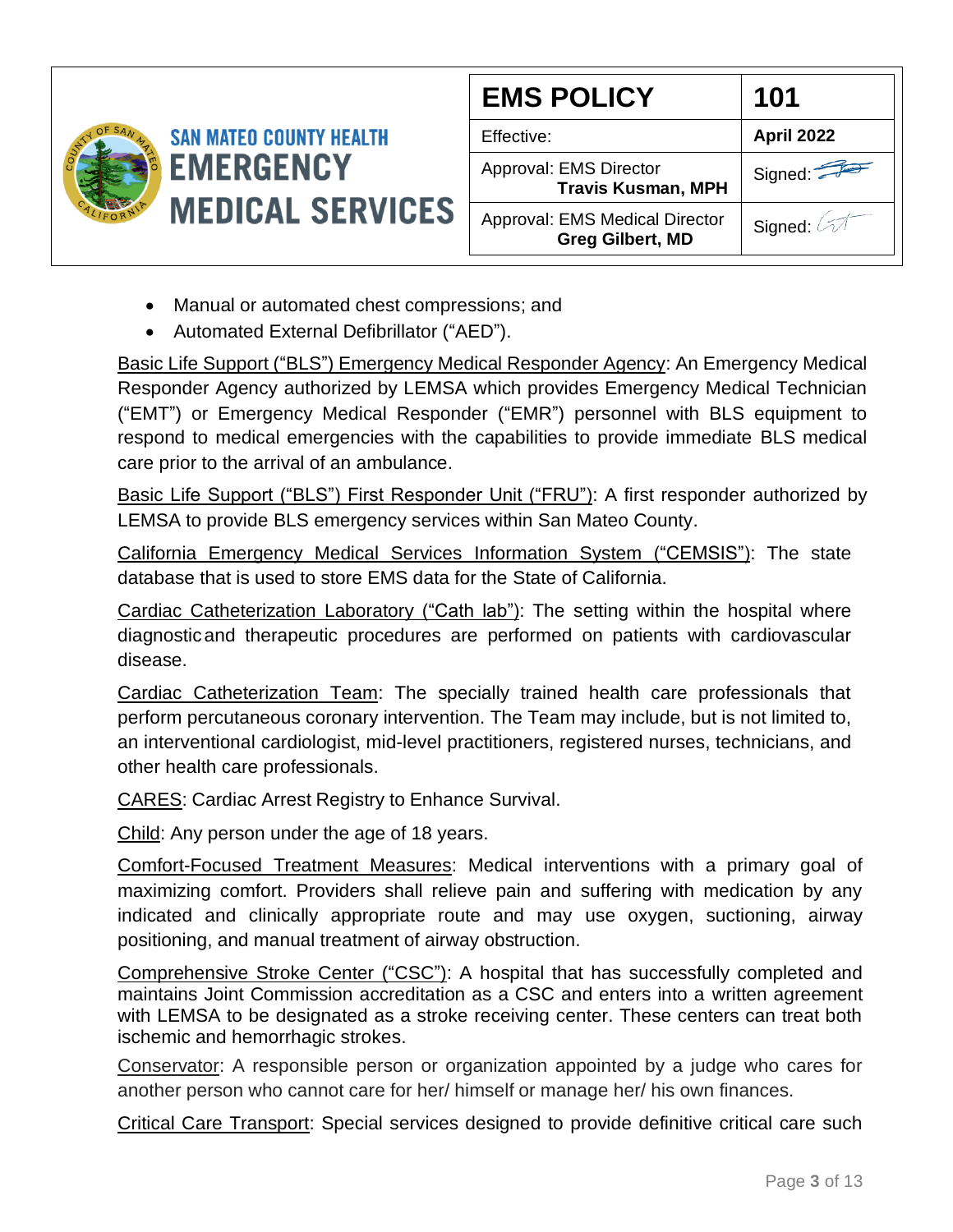

- Manual or automated chest compressions; and
- Automated External Defibrillator ("AED").

Basic Life Support ("BLS") Emergency Medical Responder Agency: An Emergency Medical Responder Agency authorized by LEMSA which provides Emergency Medical Technician ("EMT") or Emergency Medical Responder ("EMR") personnel with BLS equipment to respond to medical emergencies with the capabilities to provide immediate BLS medical care prior to the arrival of an ambulance.

Basic Life Support ("BLS") First Responder Unit ("FRU"): A first responder authorized by LEMSA to provide BLS emergency services within San Mateo County.

California Emergency Medical Services Information System ("CEMSIS"): The state database that is used to store EMS data for the State of California.

Cardiac Catheterization Laboratory ("Cath lab"): The setting within the hospital where diagnosticand therapeutic procedures are performed on patients with cardiovascular disease.

Cardiac Catheterization Team: The specially trained health care professionals that perform percutaneous coronary intervention. The Team may include, but is not limited to, an interventional cardiologist, mid-level practitioners, registered nurses, technicians, and other health care professionals.

CARES: Cardiac Arrest Registry to Enhance Survival.

Child: Any person under the age of 18 years.

Comfort-Focused Treatment Measures: Medical interventions with a primary goal of maximizing comfort. Providers shall relieve pain and suffering with medication by any indicated and clinically appropriate route and may use oxygen, suctioning, airway positioning, and manual treatment of airway obstruction.

Comprehensive Stroke Center ("CSC"): A hospital that has successfully completed and maintains Joint Commission accreditation as a CSC and enters into a written agreement with LEMSA to be designated as a stroke receiving center. These centers can treat both ischemic and hemorrhagic strokes.

Conservator: A responsible person or organization appointed by a judge who cares for another person who cannot care for her/ himself or manage her/ his own finances.

Critical Care Transport: Special services designed to provide definitive critical care such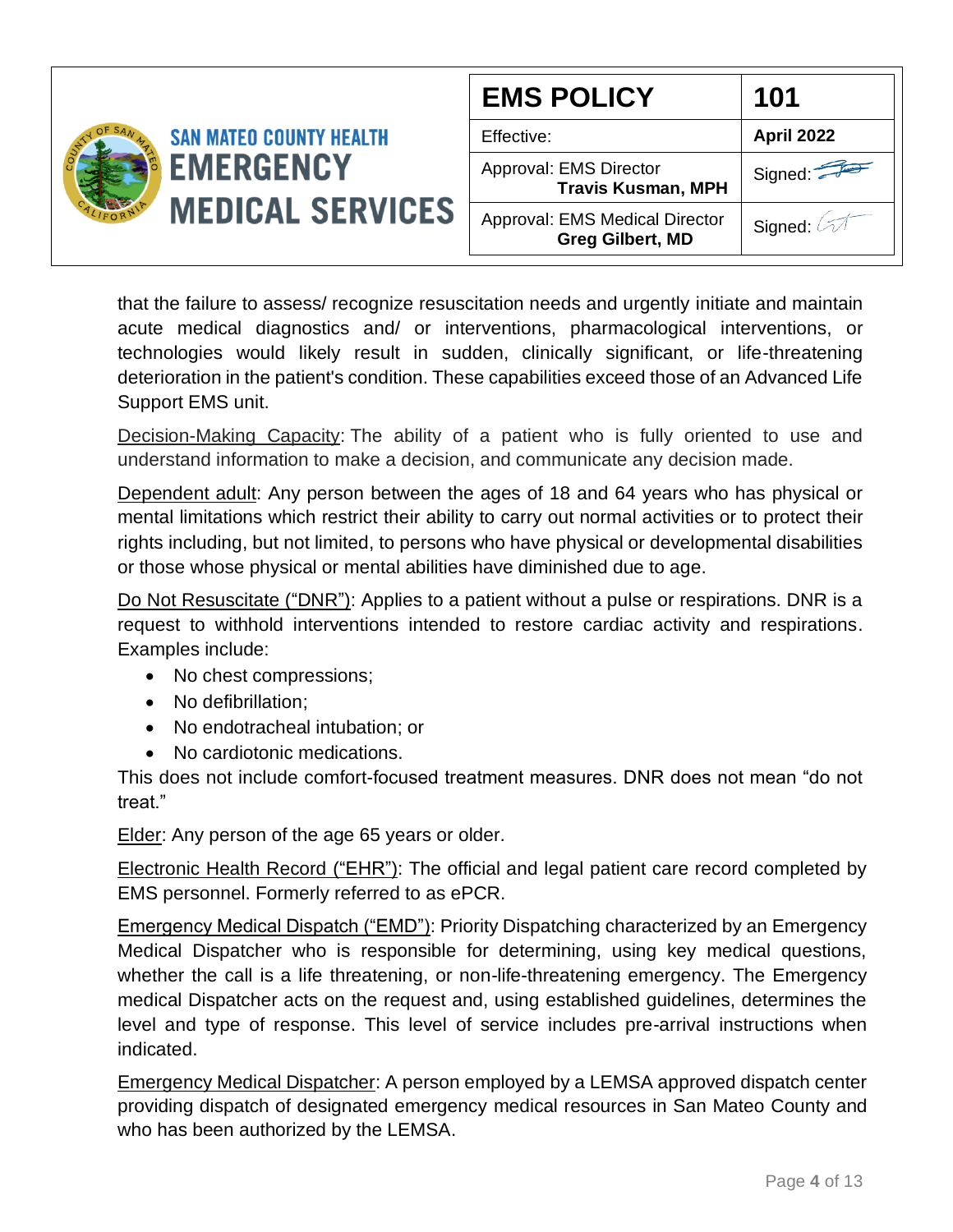|                                             |                                                           | <b>EMS POLICY</b>  | 101               |
|---------------------------------------------|-----------------------------------------------------------|--------------------|-------------------|
|                                             | <b>SAN MATEO COUNTY HEALTH</b>                            | Effective:         | <b>April 2022</b> |
| <b>EMERGENCY</b><br><b>MEDICAL SERVICES</b> | Approval: EMS Director<br><b>Travis Kusman, MPH</b>       | Signed: $\sqrt{2}$ |                   |
|                                             | Approval: EMS Medical Director<br><b>Greg Gilbert, MD</b> | Signed:            |                   |

that the failure to assess/ recognize resuscitation needs and urgently initiate and maintain acute medical diagnostics and/ or interventions, pharmacological interventions, or technologies would likely result in sudden, clinically significant, or life-threatening deterioration in the patient's condition. These capabilities exceed those of an Advanced Life Support EMS unit.

Decision-Making Capacity: The ability of a patient who is fully oriented to use and understand information to make a decision, and communicate any decision made.

Dependent adult: Any person between the ages of 18 and 64 years who has physical or mental limitations which restrict their ability to carry out normal activities or to protect their rights including, but not limited, to persons who have physical or developmental disabilities or those whose physical or mental abilities have diminished due to age.

Do Not Resuscitate ("DNR"): Applies to a patient without a pulse or respirations. DNR is a request to withhold interventions intended to restore cardiac activity and respirations. Examples include:

- No chest compressions;
- No defibrillation;
- No endotracheal intubation; or
- No cardiotonic medications.

This does not include comfort-focused treatment measures. DNR does not mean "do not treat."

Elder: Any person of the age 65 years or older.

Electronic Health Record ("EHR"): The official and legal patient care record completed by EMS personnel. Formerly referred to as ePCR.

Emergency Medical Dispatch ("EMD"): Priority Dispatching characterized by an Emergency Medical Dispatcher who is responsible for determining, using key medical questions, whether the call is a life threatening, or non-life-threatening emergency. The Emergency medical Dispatcher acts on the request and, using established guidelines, determines the level and type of response. This level of service includes pre-arrival instructions when indicated.

Emergency Medical Dispatcher: A person employed by a LEMSA approved dispatch center providing dispatch of designated emergency medical resources in San Mateo County and who has been authorized by the LEMSA.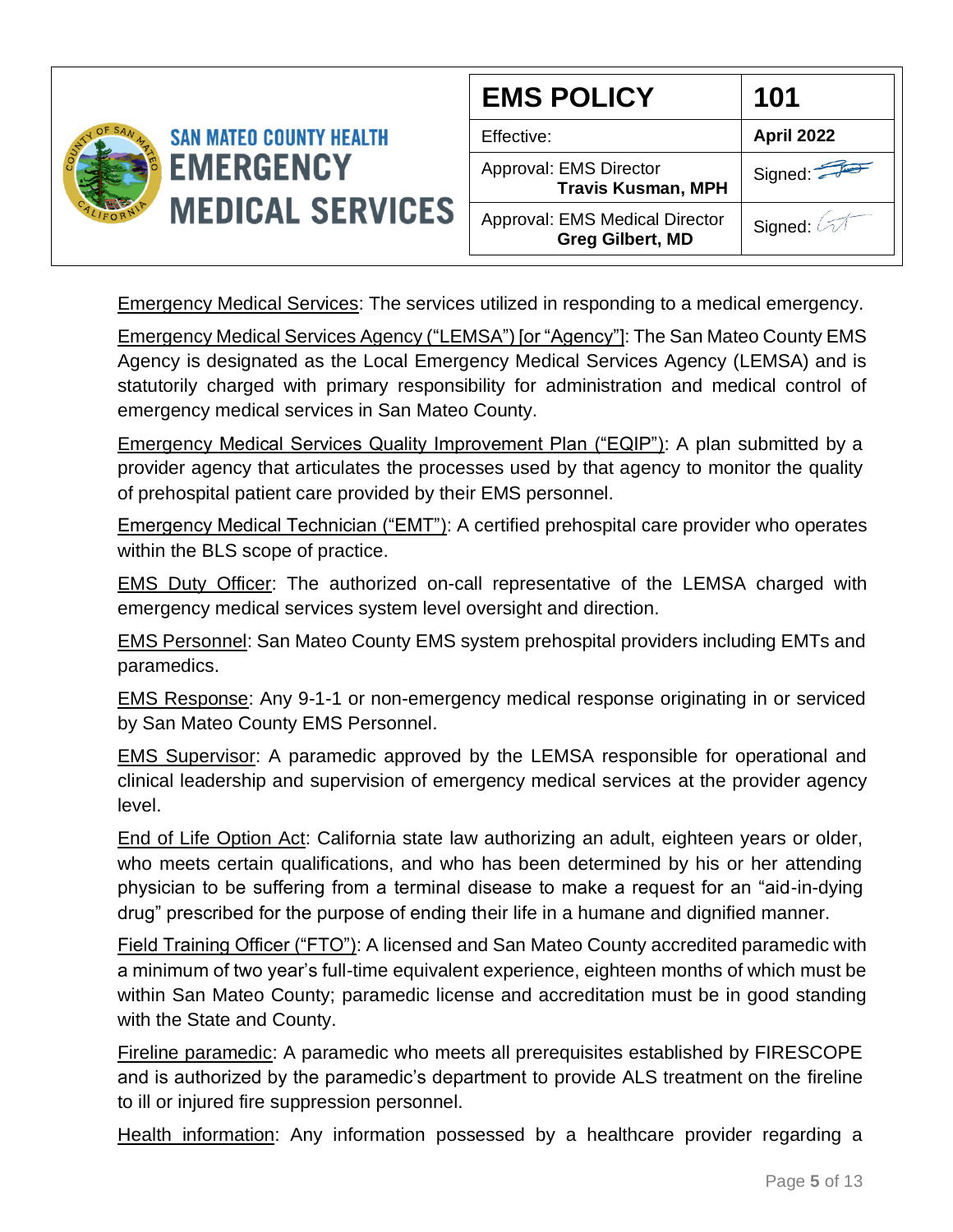

| <b>EMS POLICY</b>                                                | 101        |
|------------------------------------------------------------------|------------|
| Effective:                                                       | April 2022 |
| Approval: EMS Director<br><b>Travis Kusman, MPH</b>              | Signed:    |
| <b>Approval: EMS Medical Director</b><br><b>Greg Gilbert, MD</b> | Signed: 4  |

Emergency Medical Services: The services utilized in responding to a medical emergency.

Emergency Medical Services Agency ("LEMSA") [or "Agency"]: The San Mateo County EMS Agency is designated as the Local Emergency Medical Services Agency (LEMSA) and is statutorily charged with primary responsibility for administration and medical control of emergency medical services in San Mateo County.

Emergency Medical Services Quality Improvement Plan ("EQIP"): A plan submitted by a provider agency that articulates the processes used by that agency to monitor the quality of prehospital patient care provided by their EMS personnel.

Emergency Medical Technician ("EMT"): A certified prehospital care provider who operates within the BLS scope of practice.

EMS Duty Officer: The authorized on-call representative of the LEMSA charged with emergency medical services system level oversight and direction.

EMS Personnel: San Mateo County EMS system prehospital providers including EMTs and paramedics.

EMS Response: Any 9-1-1 or non-emergency medical response originating in or serviced by San Mateo County EMS Personnel.

EMS Supervisor: A paramedic approved by the LEMSA responsible for operational and clinical leadership and supervision of emergency medical services at the provider agency level.

End of Life Option Act: California state law authorizing an adult, eighteen years or older, who meets certain qualifications, and who has been determined by his or her attending physician to be suffering from a terminal disease to make a request for an "aid-in-dying drug" prescribed for the purpose of ending their life in a humane and dignified manner.

Field Training Officer ("FTO"): A licensed and San Mateo County accredited paramedic with a minimum of two year's full-time equivalent experience, eighteen months of which must be within San Mateo County; paramedic license and accreditation must be in good standing with the State and County.

Fireline paramedic: A paramedic who meets all prerequisites established by FIRESCOPE and is authorized by the paramedic's department to provide ALS treatment on the fireline to ill or injured fire suppression personnel.

Health information: Any information possessed by a healthcare provider regarding a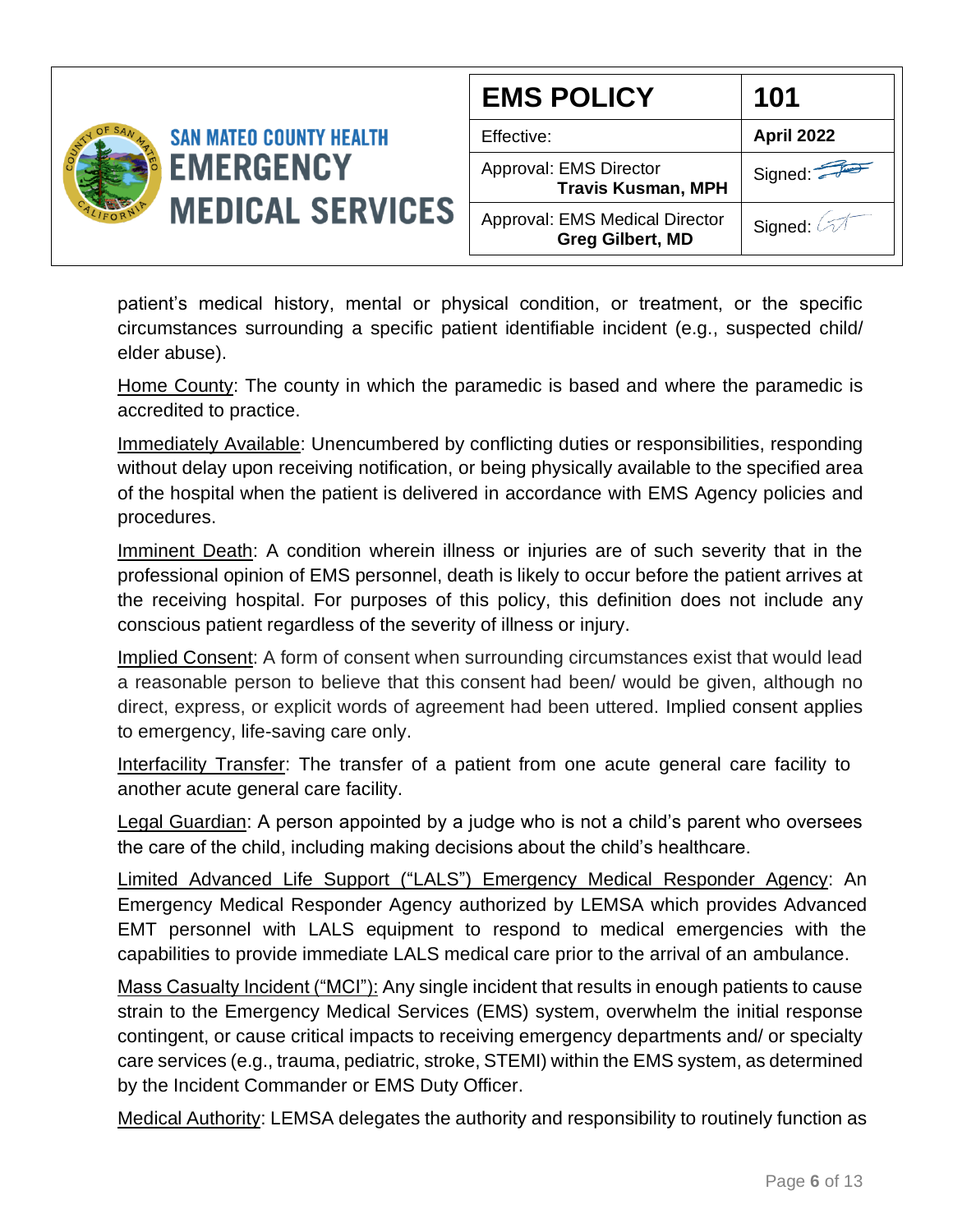

patient's medical history, mental or physical condition, or treatment, or the specific circumstances surrounding a specific patient identifiable incident (e.g., suspected child/ elder abuse).

Home County: The county in which the paramedic is based and where the paramedic is accredited to practice.

Immediately Available: Unencumbered by conflicting duties or responsibilities, responding without delay upon receiving notification, or being physically available to the specified area of the hospital when the patient is delivered in accordance with EMS Agency policies and procedures.

Imminent Death: A condition wherein illness or injuries are of such severity that in the professional opinion of EMS personnel, death is likely to occur before the patient arrives at the receiving hospital. For purposes of this policy, this definition does not include any conscious patient regardless of the severity of illness or injury.

Implied Consent: A form of consent when surrounding circumstances exist that would lead a reasonable person to believe that this consent had been/ would be given, although no direct, express, or explicit words of agreement had been uttered. Implied consent applies to emergency, life-saving care only.

Interfacility Transfer: The transfer of a patient from one acute general care facility to another acute general care facility.

Legal Guardian: A person appointed by a judge who is not a child's parent who oversees the care of the child, including making decisions about the child's healthcare.

Limited Advanced Life Support ("LALS") Emergency Medical Responder Agency: An Emergency Medical Responder Agency authorized by LEMSA which provides Advanced EMT personnel with LALS equipment to respond to medical emergencies with the capabilities to provide immediate LALS medical care prior to the arrival of an ambulance.

Mass Casualty Incident ("MCI"): Any single incident that results in enough patients to cause strain to the Emergency Medical Services (EMS) system, overwhelm the initial response contingent, or cause critical impacts to receiving emergency departments and/ or specialty care services (e.g., trauma, pediatric, stroke, STEMI) within the EMS system, as determined by the Incident Commander or EMS Duty Officer.

Medical Authority: LEMSA delegates the authority and responsibility to routinely function as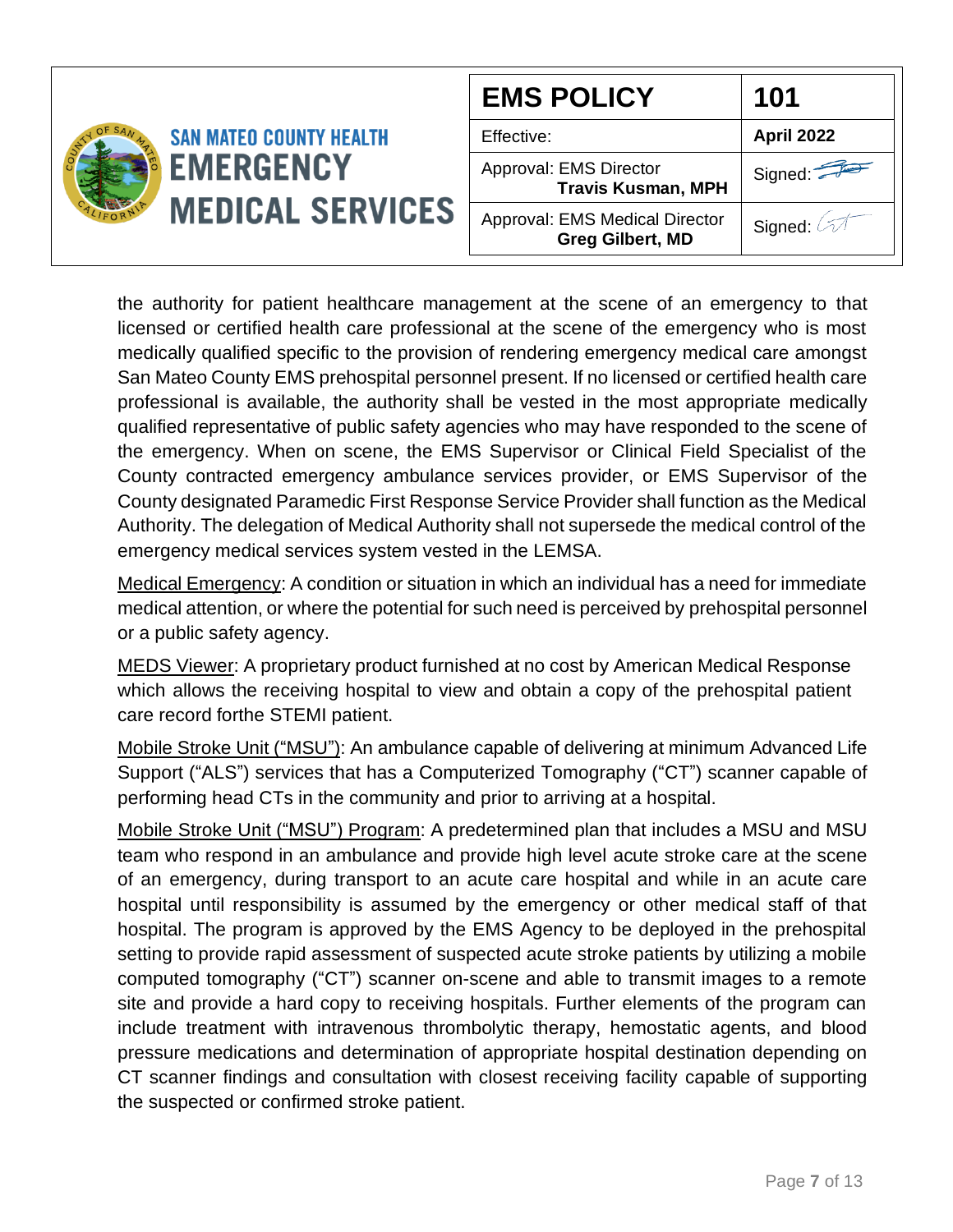|                                             | <b>EMS POLICY</b>                                         | 101                   |
|---------------------------------------------|-----------------------------------------------------------|-----------------------|
| <b>SAN MATEO COUNTY HEALTH</b>              | Effective:                                                | <b>April 2022</b>     |
| <b>EMERGENCY</b><br><b>MEDICAL SERVICES</b> | Approval: EMS Director<br><b>Travis Kusman, MPH</b>       | Signed: $\sqrt{2\pi}$ |
|                                             | Approval: EMS Medical Director<br><b>Greg Gilbert, MD</b> | Signed:               |

the authority for patient healthcare management at the scene of an emergency to that licensed or certified health care professional at the scene of the emergency who is most medically qualified specific to the provision of rendering emergency medical care amongst San Mateo County EMS prehospital personnel present. If no licensed or certified health care professional is available, the authority shall be vested in the most appropriate medically qualified representative of public safety agencies who may have responded to the scene of the emergency. When on scene, the EMS Supervisor or Clinical Field Specialist of the County contracted emergency ambulance services provider, or EMS Supervisor of the County designated Paramedic First Response Service Provider shall function as the Medical Authority. The delegation of Medical Authority shall not supersede the medical control of the emergency medical services system vested in the LEMSA.

Medical Emergency: A condition or situation in which an individual has a need for immediate medical attention, or where the potential for such need is perceived by prehospital personnel or a public safety agency.

MEDS Viewer: A proprietary product furnished at no cost by American Medical Response which allows the receiving hospital to view and obtain a copy of the prehospital patient care record forthe STEMI patient.

Mobile Stroke Unit ("MSU"): An ambulance capable of delivering at minimum Advanced Life Support ("ALS") services that has a Computerized Tomography ("CT") scanner capable of performing head CTs in the community and prior to arriving at a hospital.

Mobile Stroke Unit ("MSU") Program: A predetermined plan that includes a MSU and MSU team who respond in an ambulance and provide high level acute stroke care at the scene of an emergency, during transport to an acute care hospital and while in an acute care hospital until responsibility is assumed by the emergency or other medical staff of that hospital. The program is approved by the EMS Agency to be deployed in the prehospital setting to provide rapid assessment of suspected acute stroke patients by utilizing a mobile computed tomography ("CT") scanner on-scene and able to transmit images to a remote site and provide a hard copy to receiving hospitals. Further elements of the program can include treatment with intravenous thrombolytic therapy, hemostatic agents, and blood pressure medications and determination of appropriate hospital destination depending on CT scanner findings and consultation with closest receiving facility capable of supporting the suspected or confirmed stroke patient.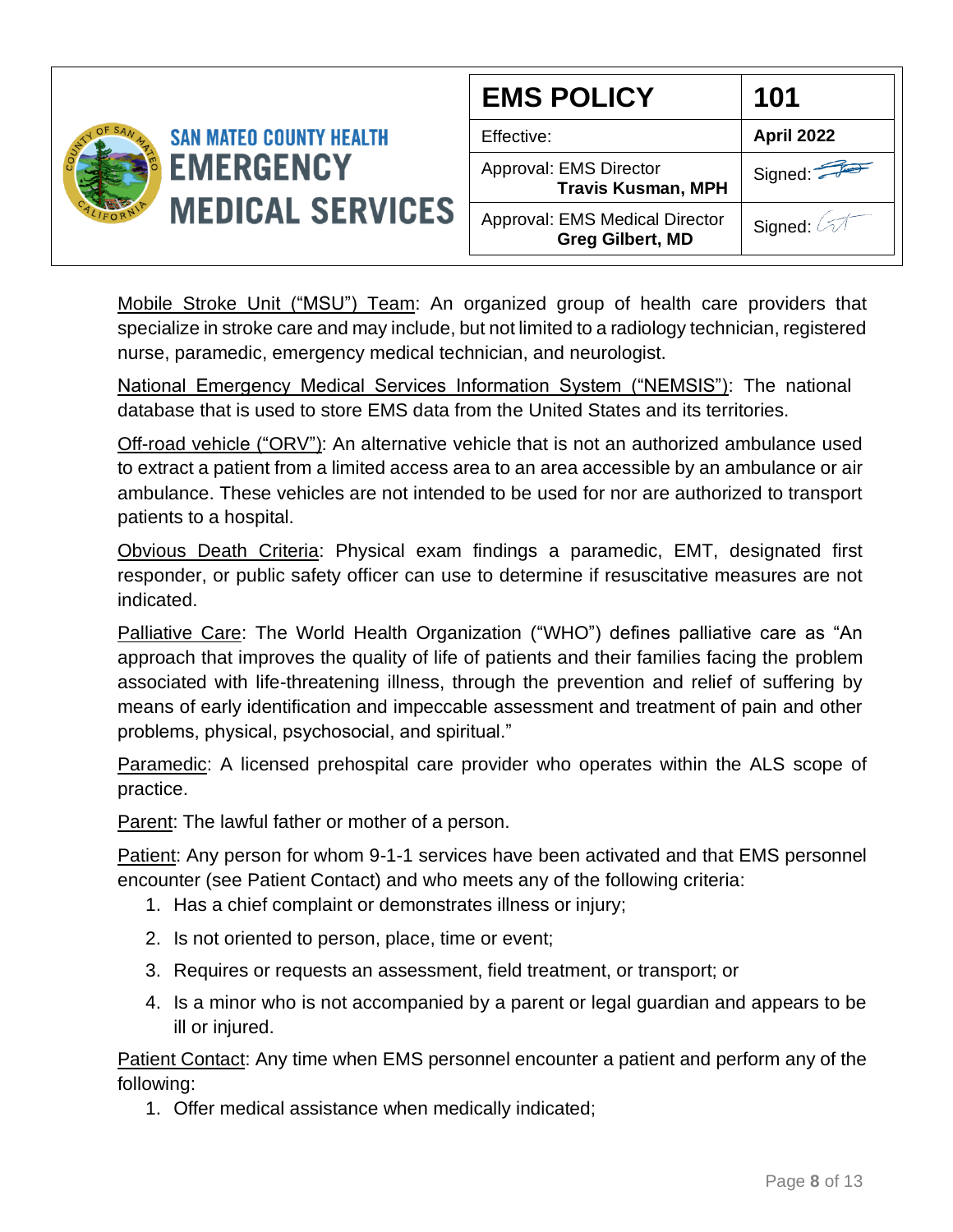

Mobile Stroke Unit ("MSU") Team: An organized group of health care providers that specialize in stroke care and may include, but not limited to a radiology technician, registered nurse, paramedic, emergency medical technician, and neurologist.

National Emergency Medical Services Information System ("NEMSIS"): The national database that is used to store EMS data from the United States and its territories.

Off-road vehicle ("ORV"): An alternative vehicle that is not an authorized ambulance used to extract a patient from a limited access area to an area accessible by an ambulance or air ambulance. These vehicles are not intended to be used for nor are authorized to transport patients to a hospital.

Obvious Death Criteria: Physical exam findings a paramedic, EMT, designated first responder, or public safety officer can use to determine if resuscitative measures are not indicated.

Palliative Care: The World Health Organization ("WHO") defines palliative care as "An approach that improves the quality of life of patients and their families facing the problem associated with life-threatening illness, through the prevention and relief of suffering by means of early identification and impeccable assessment and treatment of pain and other problems, physical, psychosocial, and spiritual."

Paramedic: A licensed prehospital care provider who operates within the ALS scope of practice.

Parent: The lawful father or mother of a person.

Patient: Any person for whom 9-1-1 services have been activated and that EMS personnel encounter (see Patient Contact) and who meets any of the following criteria:

- 1. Has a chief complaint or demonstrates illness or injury;
- 2. Is not oriented to person, place, time or event;
- 3. Requires or requests an assessment, field treatment, or transport; or
- 4. Is a minor who is not accompanied by a parent or legal guardian and appears to be ill or injured.

Patient Contact: Any time when EMS personnel encounter a patient and perform any of the following:

1. Offer medical assistance when medically indicated;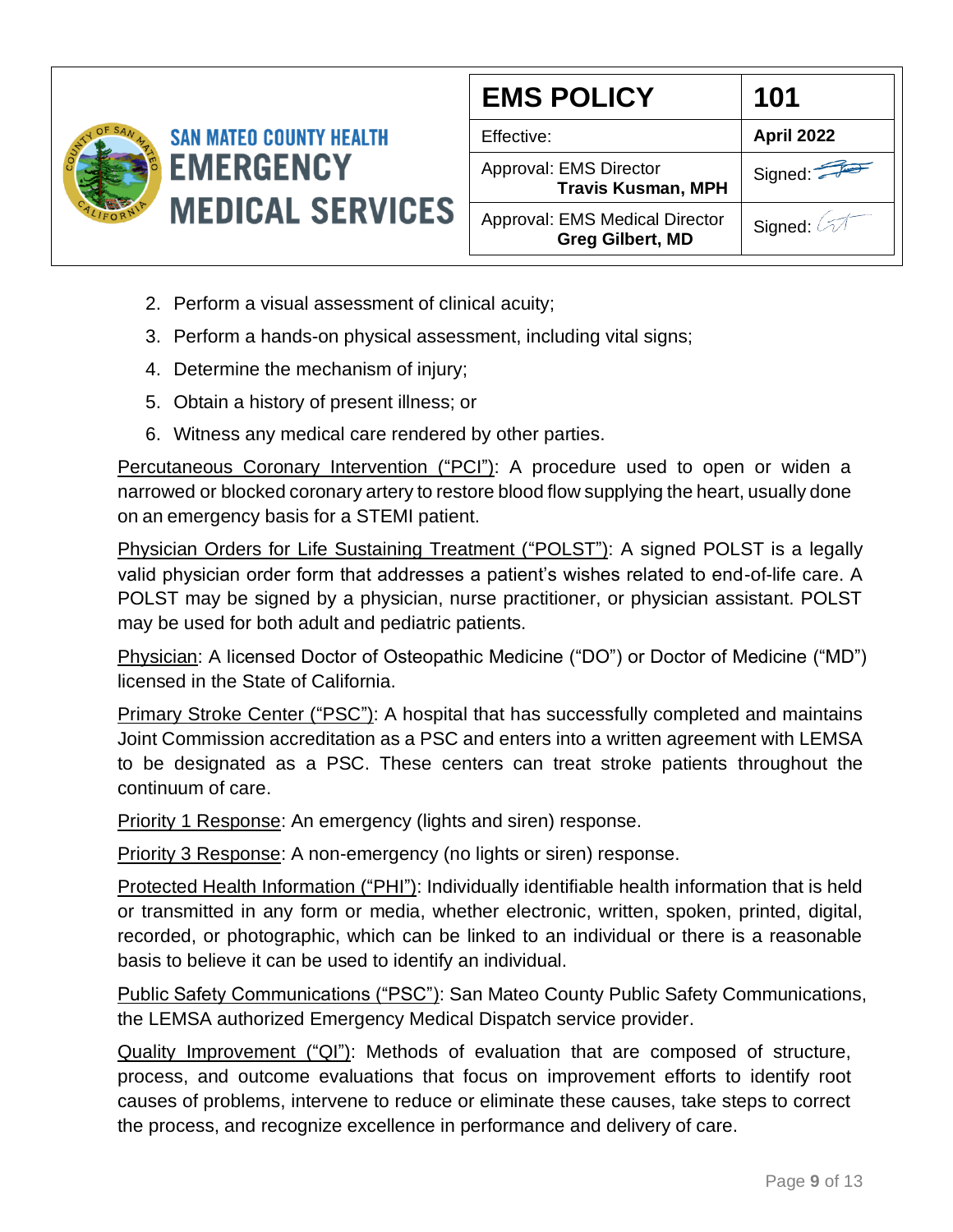

| <b>EMS POLICY</b>                                         | 101        |
|-----------------------------------------------------------|------------|
| Effective:                                                | April 2022 |
| Approval: EMS Director<br><b>Travis Kusman, MPH</b>       | Signed:    |
| Approval: EMS Medical Director<br><b>Greg Gilbert, MD</b> | Signed: 4  |

- 2. Perform a visual assessment of clinical acuity;
- 3. Perform a hands-on physical assessment, including vital signs;
- 4. Determine the mechanism of injury;
- 5. Obtain a history of present illness; or
- 6. Witness any medical care rendered by other parties.

Percutaneous Coronary Intervention ("PCI"): A procedure used to open or widen a narrowed or blocked coronary artery to restore blood flow supplying the heart, usually done on an emergency basis for a STEMI patient.

Physician Orders for Life Sustaining Treatment ("POLST"): A signed POLST is a legally valid physician order form that addresses a patient's wishes related to end-of-life care. A POLST may be signed by a physician, nurse practitioner, or physician assistant. POLST may be used for both adult and pediatric patients.

Physician: A licensed Doctor of Osteopathic Medicine ("DO") or Doctor of Medicine ("MD") licensed in the State of California.

Primary Stroke Center ("PSC"): A hospital that has successfully completed and maintains Joint Commission accreditation as a PSC and enters into a written agreement with LEMSA to be designated as a PSC. These centers can treat stroke patients throughout the continuum of care.

Priority 1 Response: An emergency (lights and siren) response.

Priority 3 Response: A non-emergency (no lights or siren) response.

Protected Health Information ("PHI"): Individually identifiable health information that is held or transmitted in any form or media, whether electronic, written, spoken, printed, digital, recorded, or photographic, which can be linked to an individual or there is a reasonable basis to believe it can be used to identify an individual.

Public Safety Communications ("PSC"): San Mateo County Public Safety Communications, the LEMSA authorized Emergency Medical Dispatch service provider.

Quality Improvement ("QI"): Methods of evaluation that are composed of structure, process, and outcome evaluations that focus on improvement efforts to identify root causes of problems, intervene to reduce or eliminate these causes, take steps to correct the process, and recognize excellence in performance and delivery of care.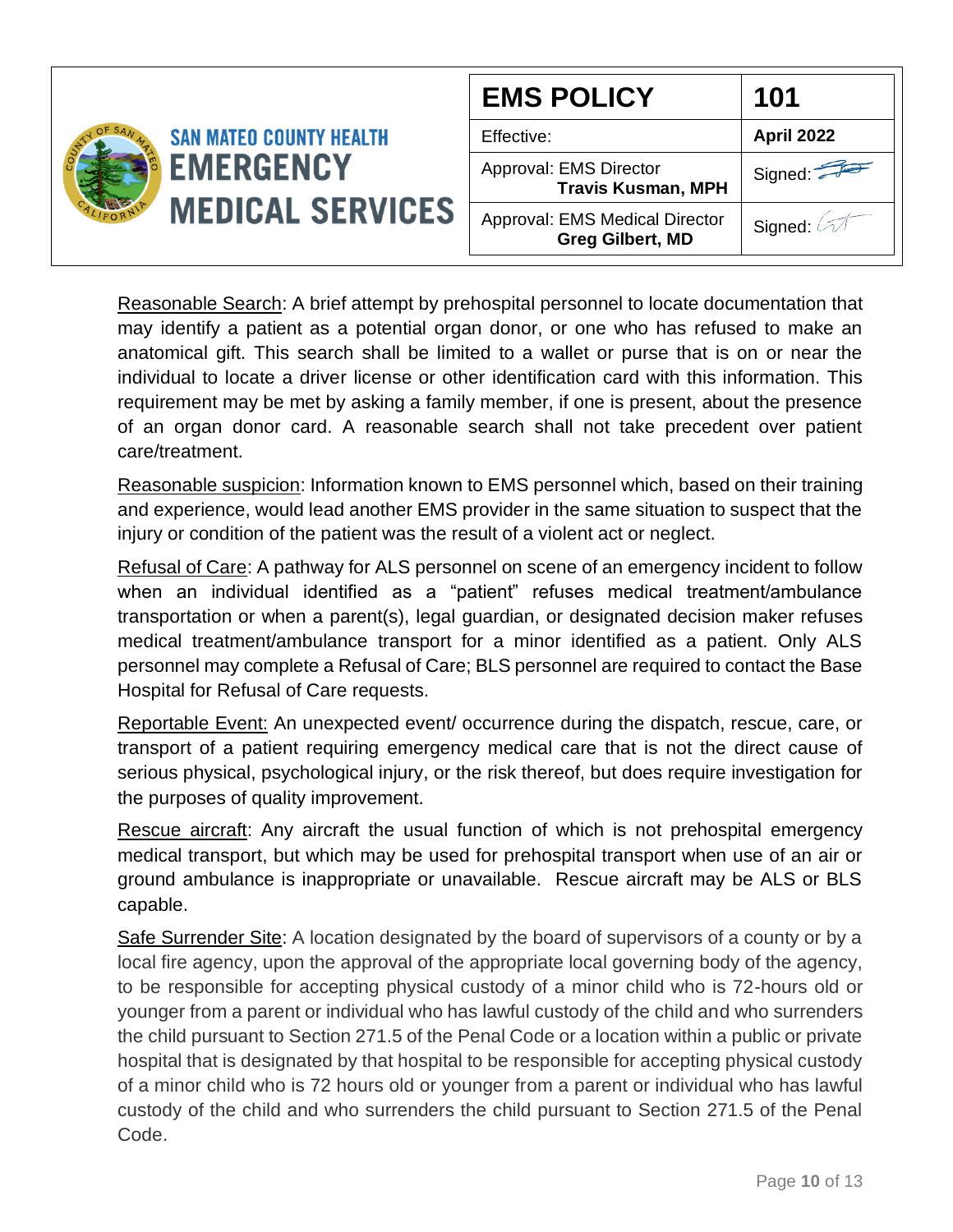|                                             | <b>EMS POLICY</b>                                         | 101                |
|---------------------------------------------|-----------------------------------------------------------|--------------------|
| <b>SAN MATEO COUNTY HEALTH</b>              | Effective:                                                | <b>April 2022</b>  |
| <b>EMERGENCY</b><br><b>MEDICAL SERVICES</b> | Approval: EMS Director<br><b>Travis Kusman, MPH</b>       | Signed: $\sqrt{2}$ |
|                                             | Approval: EMS Medical Director<br><b>Greg Gilbert, MD</b> | Signed:            |

Reasonable Search: A brief attempt by prehospital personnel to locate documentation that may identify a patient as a potential organ donor, or one who has refused to make an anatomical gift. This search shall be limited to a wallet or purse that is on or near the individual to locate a driver license or other identification card with this information. This requirement may be met by asking a family member, if one is present, about the presence of an organ donor card. A reasonable search shall not take precedent over patient care/treatment.

Reasonable suspicion: Information known to EMS personnel which, based on their training and experience, would lead another EMS provider in the same situation to suspect that the injury or condition of the patient was the result of a violent act or neglect.

Refusal of Care: A pathway for ALS personnel on scene of an emergency incident to follow when an individual identified as a "patient" refuses medical treatment/ambulance transportation or when a parent(s), legal guardian, or designated decision maker refuses medical treatment/ambulance transport for a minor identified as a patient. Only ALS personnel may complete a Refusal of Care; BLS personnel are required to contact the Base Hospital for Refusal of Care requests.

Reportable Event: An unexpected event/ occurrence during the dispatch, rescue, care, or transport of a patient requiring emergency medical care that is not the direct cause of serious physical, psychological injury, or the risk thereof, but does require investigation for the purposes of quality improvement.

Rescue aircraft: Any aircraft the usual function of which is not prehospital emergency medical transport, but which may be used for prehospital transport when use of an air or ground ambulance is inappropriate or unavailable. Rescue aircraft may be ALS or BLS capable.

Safe Surrender Site: A location designated by the board of supervisors of a county or by a local fire agency, upon the approval of the appropriate local governing body of the agency, to be responsible for accepting physical custody of a minor child who is 72-hours old or younger from a parent or individual who has lawful custody of the child and who surrenders the child pursuant to Section 271.5 of the Penal Code or a location within a public or private hospital that is designated by that hospital to be responsible for accepting physical custody of a minor child who is 72 hours old or younger from a parent or individual who has lawful custody of the child and who surrenders the child pursuant to Section 271.5 of the Penal Code.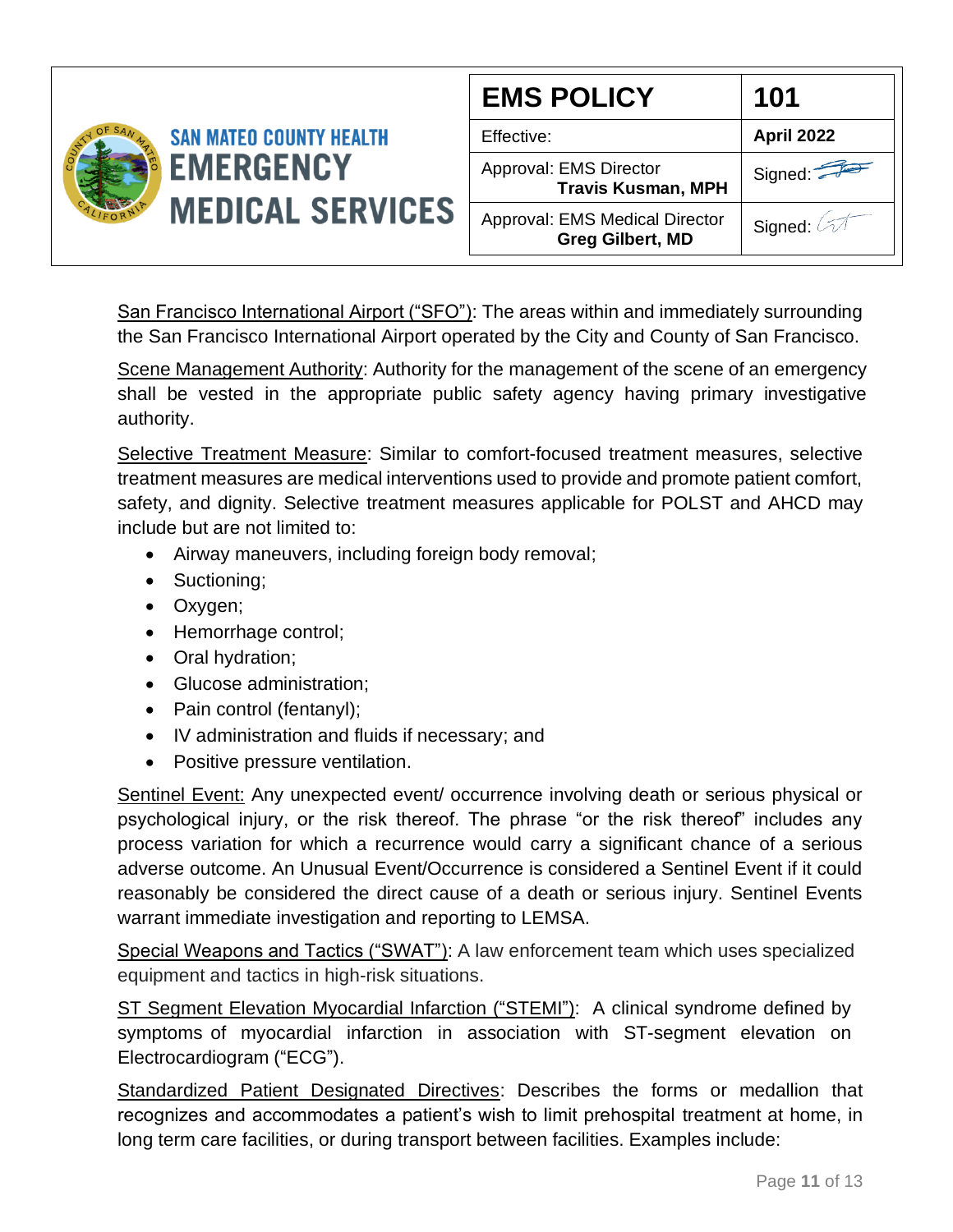

San Francisco International Airport ("SFO"): The areas within and immediately surrounding the San Francisco International Airport operated by the City and County of San Francisco.

Scene Management Authority: Authority for the management of the scene of an emergency shall be vested in the appropriate public safety agency having primary investigative authority.

Selective Treatment Measure: Similar to comfort-focused treatment measures, selective treatment measures are medical interventions used to provide and promote patient comfort, safety, and dignity. Selective treatment measures applicable for POLST and AHCD may include but are not limited to:

- Airway maneuvers, including foreign body removal;
- Suctioning;
- Oxygen;
- Hemorrhage control;
- Oral hydration;
- Glucose administration;
- Pain control (fentanyl);
- IV administration and fluids if necessary; and
- Positive pressure ventilation.

Sentinel Event: Any unexpected event/ occurrence involving death or serious physical or psychological injury, or the risk thereof. The phrase "or the risk thereof" includes any process variation for which a recurrence would carry a significant chance of a serious adverse outcome. An Unusual Event/Occurrence is considered a Sentinel Event if it could reasonably be considered the direct cause of a death or serious injury. Sentinel Events warrant immediate investigation and reporting to LEMSA.

Special Weapons and Tactics ("SWAT"): A law enforcement team which uses specialized equipment and tactics in high-risk situations.

ST Segment Elevation Myocardial Infarction ("STEMI"): A clinical syndrome defined by symptoms of myocardial infarction in association with ST-segment elevation on Electrocardiogram ("ECG").

Standardized Patient Designated Directives: Describes the forms or medallion that recognizes and accommodates a patient's wish to limit prehospital treatment at home, in long term care facilities, or during transport between facilities. Examples include: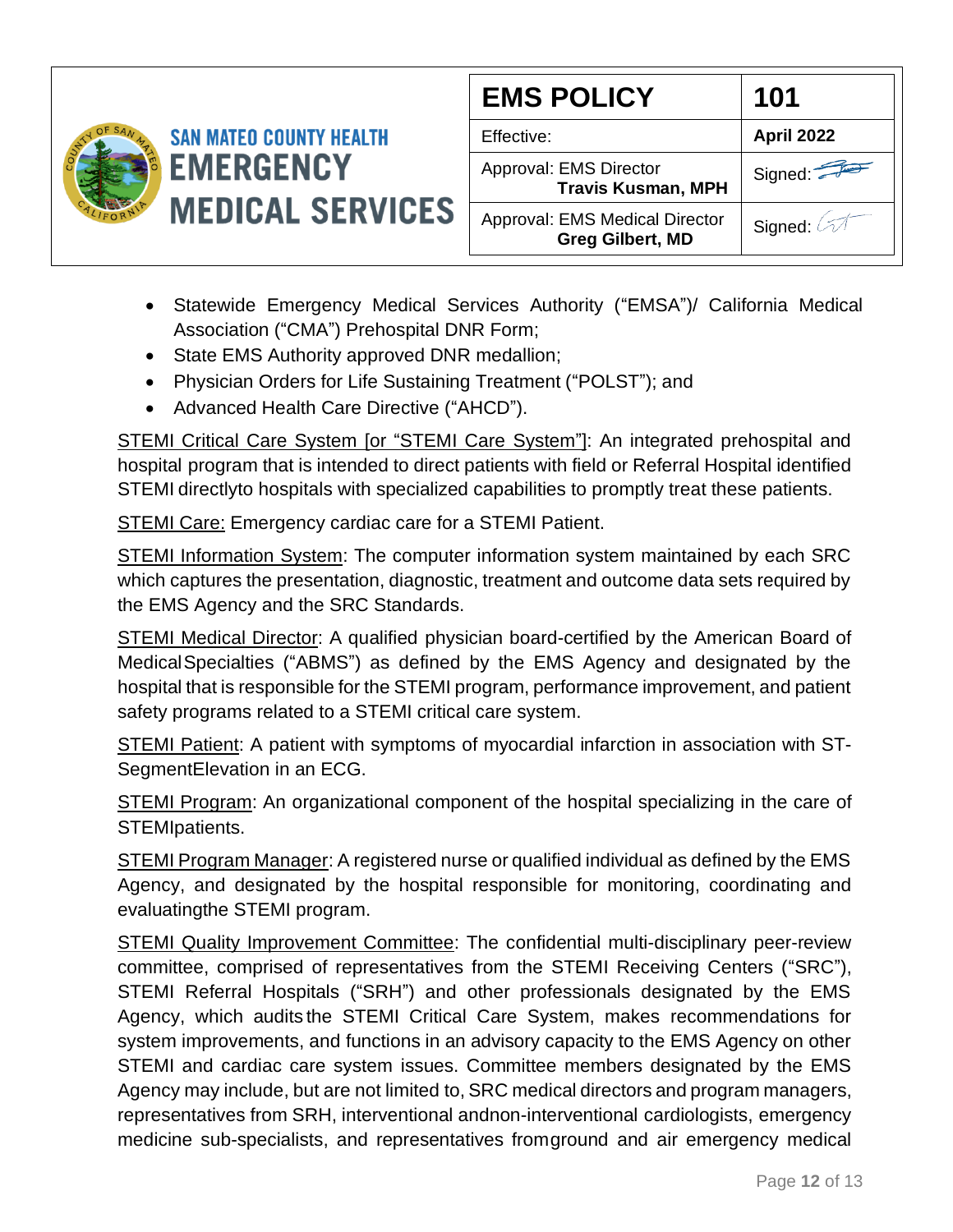

| <b>EMS POLICY</b>                                         | 101                       |
|-----------------------------------------------------------|---------------------------|
| Effective:                                                | <b>April 2022</b>         |
| Approval: EMS Director<br><b>Travis Kusman, MPH</b>       | Signed:                   |
| Approval: EMS Medical Director<br><b>Greg Gilbert, MD</b> | Signed: $\oslash \oslash$ |

- Statewide Emergency Medical Services Authority ("EMSA")/ California Medical Association ("CMA") Prehospital DNR Form;
- State EMS Authority approved DNR medallion;
- Physician Orders for Life Sustaining Treatment ("POLST"); and
- Advanced Health Care Directive ("AHCD").

STEMI Critical Care System [or "STEMI Care System"]: An integrated prehospital and hospital program that is intended to direct patients with field or Referral Hospital identified STEMI directlyto hospitals with specialized capabilities to promptly treat these patients.

STEMI Care: Emergency cardiac care for a STEMI Patient.

STEMI Information System: The computer information system maintained by each SRC which captures the presentation, diagnostic, treatment and outcome data sets required by the EMS Agency and the SRC Standards.

STEMI Medical Director: A qualified physician board-certified by the American Board of MedicalSpecialties ("ABMS") as defined by the EMS Agency and designated by the hospital that is responsible for the STEMI program, performance improvement, and patient safety programs related to a STEMI critical care system.

STEMI Patient: A patient with symptoms of myocardial infarction in association with ST-SegmentElevation in an ECG.

STEMI Program: An organizational component of the hospital specializing in the care of STEMIpatients.

STEMI Program Manager: A registered nurse or qualified individual as defined by the EMS Agency, and designated by the hospital responsible for monitoring, coordinating and evaluatingthe STEMI program.

STEMI Quality Improvement Committee: The confidential multi-disciplinary peer-review committee, comprised of representatives from the STEMI Receiving Centers ("SRC"), STEMI Referral Hospitals ("SRH") and other professionals designated by the EMS Agency, which audits the STEMI Critical Care System, makes recommendations for system improvements, and functions in an advisory capacity to the EMS Agency on other STEMI and cardiac care system issues. Committee members designated by the EMS Agency may include, but are not limited to, SRC medical directors and program managers, representatives from SRH, interventional andnon-interventional cardiologists, emergency medicine sub-specialists, and representatives fromground and air emergency medical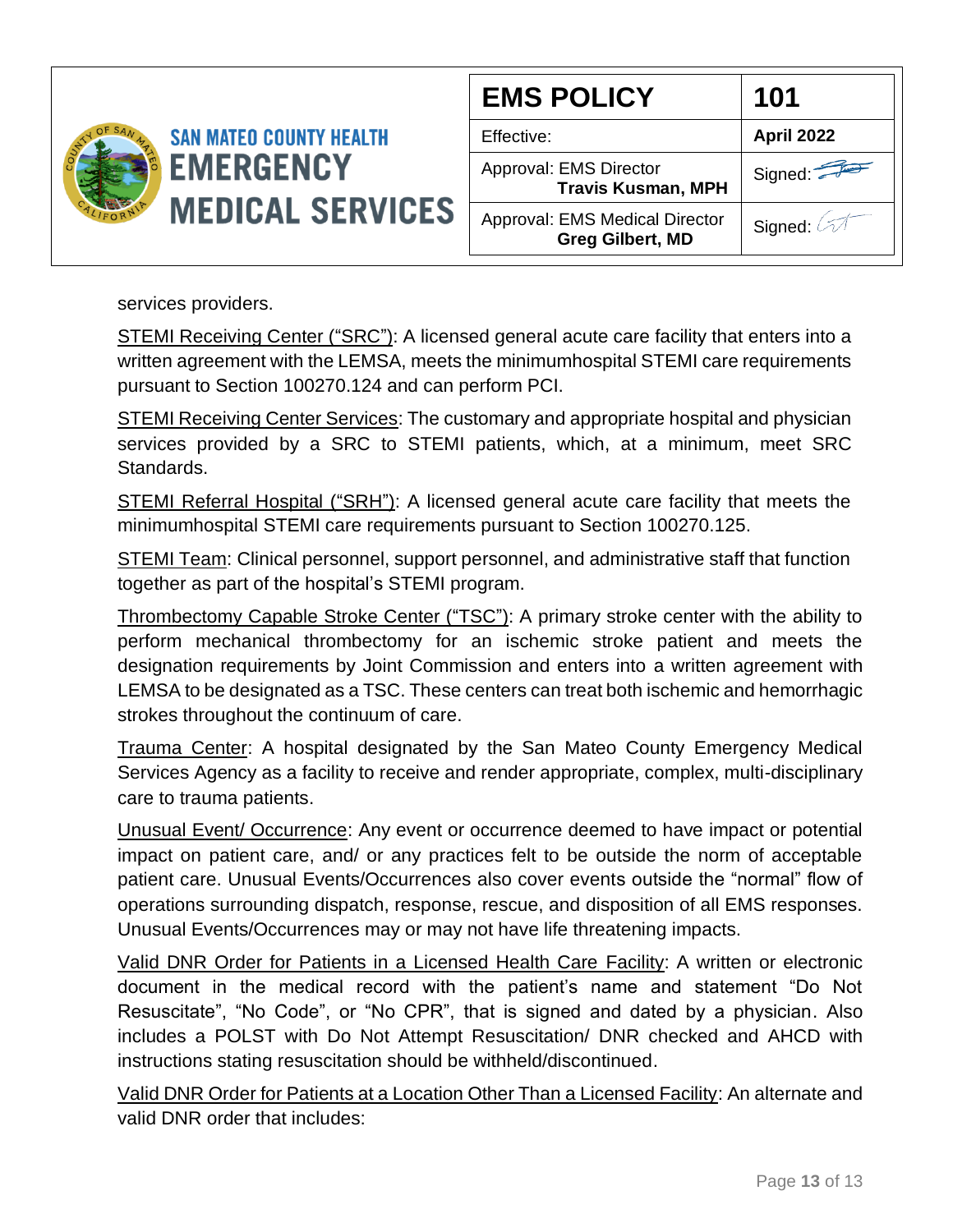

| <b>EMS POLICY</b>                                                | 101                   |
|------------------------------------------------------------------|-----------------------|
| Effective:                                                       | April 2022            |
| Approval: EMS Director<br><b>Travis Kusman, MPH</b>              | Signed:               |
| <b>Approval: EMS Medical Director</b><br><b>Greg Gilbert, MD</b> | Signed: $\oslash\top$ |

services providers.

STEMI Receiving Center ("SRC"): A licensed general acute care facility that enters into a written agreement with the LEMSA, meets the minimumhospital STEMI care requirements pursuant to Section 100270.124 and can perform PCI.

STEMI Receiving Center Services: The customary and appropriate hospital and physician services provided by a SRC to STEMI patients, which, at a minimum, meet SRC Standards.

STEMI Referral Hospital ("SRH"): A licensed general acute care facility that meets the minimumhospital STEMI care requirements pursuant to Section 100270.125.

STEMI Team: Clinical personnel, support personnel, and administrative staff that function together as part of the hospital's STEMI program.

Thrombectomy Capable Stroke Center ("TSC"): A primary stroke center with the ability to perform mechanical thrombectomy for an ischemic stroke patient and meets the designation requirements by Joint Commission and enters into a written agreement with LEMSA to be designated as a TSC. These centers can treat both ischemic and hemorrhagic strokes throughout the continuum of care.

Trauma Center: A hospital designated by the San Mateo County Emergency Medical Services Agency as a facility to receive and render appropriate, complex, multi-disciplinary care to trauma patients.

Unusual Event/ Occurrence: Any event or occurrence deemed to have impact or potential impact on patient care, and/ or any practices felt to be outside the norm of acceptable patient care. Unusual Events/Occurrences also cover events outside the "normal" flow of operations surrounding dispatch, response, rescue, and disposition of all EMS responses. Unusual Events/Occurrences may or may not have life threatening impacts.

Valid DNR Order for Patients in a Licensed Health Care Facility: A written or electronic document in the medical record with the patient's name and statement "Do Not Resuscitate", "No Code", or "No CPR", that is signed and dated by a physician. Also includes a POLST with Do Not Attempt Resuscitation/ DNR checked and AHCD with instructions stating resuscitation should be withheld/discontinued.

Valid DNR Order for Patients at a Location Other Than a Licensed Facility: An alternate and valid DNR order that includes: